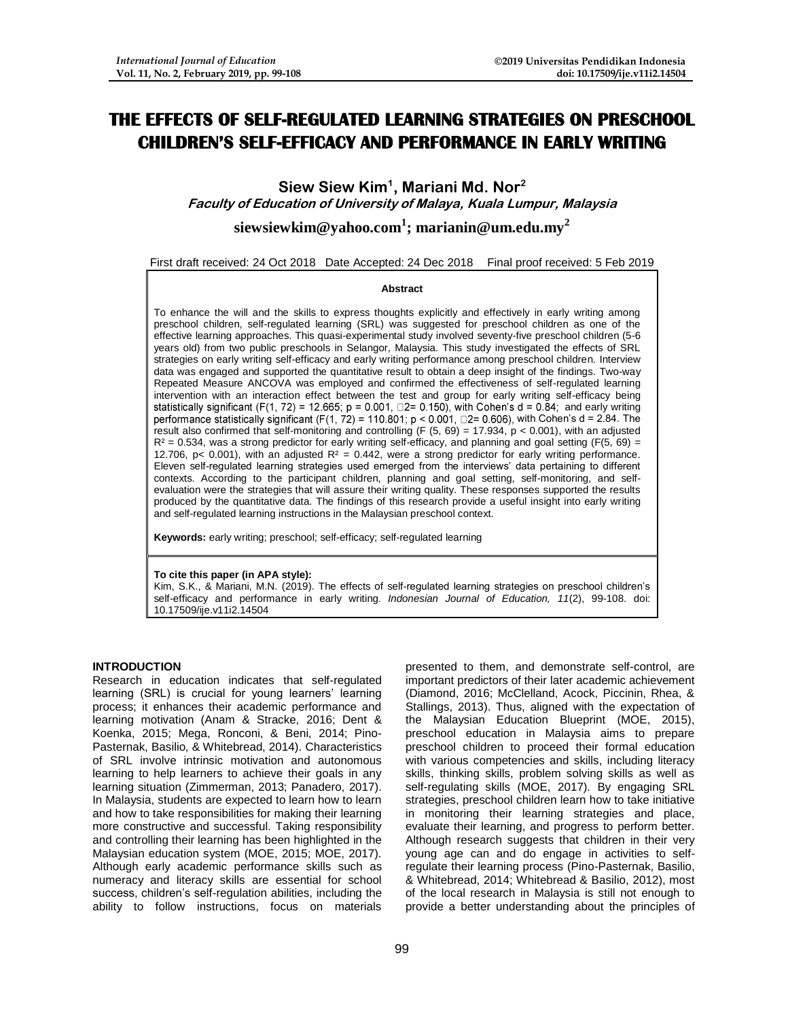# **THE EFFECTS OF SELF-REGULATED LEARNING STRATEGIES ON PRESCHOOL CHILDREN'S SELF-EFFICACY AND PERFORMANCE IN EARLY WRITING**

**Siew Siew Kim<sup>1</sup> , Mariani Md. Nor<sup>2</sup>**

**Faculty of Education of University of Malaya, Kuala Lumpur, Malaysia**

**[siewsiewkim@yahoo.com](mailto:siewsiewkim@yahoo.com)<sup>1</sup> ; [marianin@um.edu.my](mailto:marianin@um.edu.my)<sup>2</sup>**

First draft received: 24 Oct 2018 Date Accepted: 24 Dec 2018 Final proof received: 5 Feb 2019

#### **Abstract**

To enhance the will and the skills to express thoughts explicitly and effectively in early writing among preschool children, self-regulated learning (SRL) was suggested for preschool children as one of the effective learning approaches. This quasi-experimental study involved seventy-five preschool children (5-6 years old) from two public preschools in Selangor, Malaysia. This study investigated the effects of SRL strategies on early writing self-efficacy and early writing performance among preschool children. Interview data was engaged and supported the quantitative result to obtain a deep insight of the findings. Two-way Repeated Measure ANCOVA was employed and confirmed the effectiveness of self-regulated learning intervention with an interaction effect between the test and group for early writing self-efficacy being statistically significant (F(1, 72) = 12.665; p = 0.001,  $\square$  = 0.150), with Cohen's d = 0.84; and early writing performance statistically significant (F(1, 72) = 110.801;  $p < 0.001$ ,  $\Box$ 2= 0.606), with Cohen's d = 2.84. The result also confirmed that self-monitoring and controlling (F  $(5, 69) = 17.934$ , p < 0.001), with an adjusted  $R<sup>2</sup> = 0.534$ , was a strong predictor for early writing self-efficacy, and planning and goal setting (F(5, 69) = 12.706, p< 0.001), with an adjusted  $R<sup>2</sup> = 0.442$ , were a strong predictor for early writing performance. Eleven self-regulated learning strategies used emerged from the interviews' data pertaining to different contexts. According to the participant children, planning and goal setting, self-monitoring, and selfevaluation were the strategies that will assure their writing quality. These responses supported the results produced by the quantitative data. The findings of this research provide a useful insight into early writing and self-regulated learning instructions in the Malaysian preschool context.

**Keywords:** early writing; preschool; self-efficacy; self-regulated learning

#### **To cite this paper (in APA style):**

Kim, S.K., & Mariani, M.N. (2019). The effects of self-regulated learning strategies on preschool children's self-efficacy and performance in early writing. *Indonesian Journal of Education, 11*(2), 99-108. doi: 10.17509/ije.v11i2.14504

## **INTRODUCTION**

Research in education indicates that self-regulated learning (SRL) is crucial for young learners' learning process; it enhances their academic performance and learning motivation (Anam & Stracke, 2016; Dent & Koenka, 2015; Mega, Ronconi, & Beni, 2014; Pino-Pasternak, Basilio, & Whitebread, 2014). Characteristics of SRL involve intrinsic motivation and autonomous learning to help learners to achieve their goals in any learning situation (Zimmerman, 2013; Panadero, 2017). In Malaysia, students are expected to learn how to learn and how to take responsibilities for making their learning more constructive and successful. Taking responsibility and controlling their learning has been highlighted in the Malaysian education system (MOE, 2015; MOE, 2017). Although early academic performance skills such as numeracy and literacy skills are essential for school success, children's self-regulation abilities, including the ability to follow instructions, focus on materials

presented to them, and demonstrate self-control, are important predictors of their later academic achievement (Diamond, 2016; McClelland, Acock, Piccinin, Rhea, & Stallings, 2013). Thus, aligned with the expectation of the Malaysian Education Blueprint (MOE, 2015), preschool education in Malaysia aims to prepare preschool children to proceed their formal education with various competencies and skills, including literacy skills, thinking skills, problem solving skills as well as self-regulating skills (MOE, 2017). By engaging SRL strategies, preschool children learn how to take initiative in monitoring their learning strategies and place, evaluate their learning, and progress to perform better. Although research suggests that children in their very young age can and do engage in activities to selfregulate their learning process (Pino-Pasternak, Basilio, & Whitebread, 2014; Whitebread & Basilio, 2012), most of the local research in Malaysia is still not enough to provide a better understanding about the principles of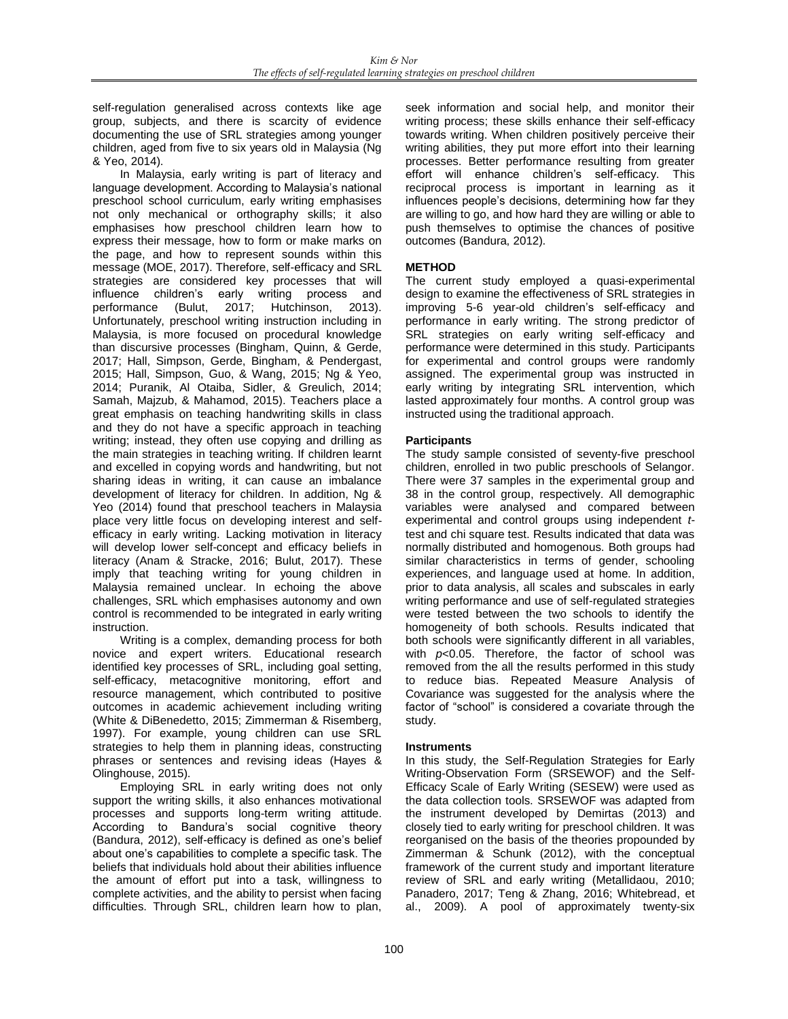self-regulation generalised across contexts like age group, subjects, and there is scarcity of evidence documenting the use of SRL strategies among younger children, aged from five to six years old in Malaysia (Ng & Yeo, 2014).

In Malaysia, early writing is part of literacy and language development. According to Malaysia's national preschool school curriculum, early writing emphasises not only mechanical or orthography skills; it also emphasises how preschool children learn how to express their message, how to form or make marks on the page, and how to represent sounds within this message (MOE, 2017). Therefore, self-efficacy and SRL strategies are considered key processes that will influence children's early writing process and<br>performance (Bulut, 2017; Hutchinson, 2013). performance (Bulut, 2017; Hutchinson, 2013). Unfortunately, preschool writing instruction including in Malaysia, is more focused on procedural knowledge than discursive processes (Bingham, Quinn, & Gerde, 2017; Hall, Simpson, Gerde, Bingham, & Pendergast, 2015; Hall, Simpson, Guo, & Wang, 2015; Ng & Yeo, 2014; Puranik, Al Otaiba, Sidler, & Greulich, 2014; Samah, Majzub, & Mahamod, 2015). Teachers place a great emphasis on teaching handwriting skills in class and they do not have a specific approach in teaching writing; instead, they often use copying and drilling as the main strategies in teaching writing. If children learnt and excelled in copying words and handwriting, but not sharing ideas in writing, it can cause an imbalance development of literacy for children. In addition, Ng & Yeo (2014) found that preschool teachers in Malaysia place very little focus on developing interest and selfefficacy in early writing. Lacking motivation in literacy will develop lower self-concept and efficacy beliefs in literacy (Anam & Stracke, 2016; Bulut, 2017). These imply that teaching writing for young children in Malaysia remained unclear. In echoing the above challenges, SRL which emphasises autonomy and own control is recommended to be integrated in early writing instruction.

Writing is a complex, demanding process for both novice and expert writers. Educational research identified key processes of SRL, including goal setting, self-efficacy, metacognitive monitoring, effort and resource management, which contributed to positive outcomes in academic achievement including writing (White & DiBenedetto, 2015; Zimmerman & Risemberg, 1997). For example, young children can use SRL strategies to help them in planning ideas, constructing phrases or sentences and revising ideas (Hayes & Olinghouse, 2015).

Employing SRL in early writing does not only support the writing skills, it also enhances motivational processes and supports long-term writing attitude. According to Bandura's social cognitive theory (Bandura, 2012), self-efficacy is defined as one's belief about one's capabilities to complete a specific task. The beliefs that individuals hold about their abilities influence the amount of effort put into a task, willingness to complete activities, and the ability to persist when facing difficulties. Through SRL, children learn how to plan,

seek information and social help, and monitor their writing process; these skills enhance their self-efficacy towards writing. When children positively perceive their writing abilities, they put more effort into their learning processes. Better performance resulting from greater effort will enhance children's self-efficacy. This reciprocal process is important in learning as it influences people's decisions, determining how far they are willing to go, and how hard they are willing or able to push themselves to optimise the chances of positive outcomes (Bandura, 2012).

## **METHOD**

The current study employed a quasi-experimental design to examine the effectiveness of SRL strategies in improving 5-6 year-old children's self-efficacy and performance in early writing. The strong predictor of SRL strategies on early writing self-efficacy and performance were determined in this study. Participants for experimental and control groups were randomly assigned. The experimental group was instructed in early writing by integrating SRL intervention, which lasted approximately four months. A control group was instructed using the traditional approach.

## **Participants**

The study sample consisted of seventy-five preschool children, enrolled in two public preschools of Selangor. There were 37 samples in the experimental group and 38 in the control group, respectively. All demographic variables were analysed and compared between experimental and control groups using independent *t*test and chi square test. Results indicated that data was normally distributed and homogenous. Both groups had similar characteristics in terms of gender, schooling experiences, and language used at home. In addition, prior to data analysis, all scales and subscales in early writing performance and use of self-regulated strategies were tested between the two schools to identify the homogeneity of both schools. Results indicated that both schools were significantly different in all variables, with *p*<0.05. Therefore, the factor of school was removed from the all the results performed in this study to reduce bias. Repeated Measure Analysis of Covariance was suggested for the analysis where the factor of "school" is considered a covariate through the study.

## **Instruments**

In this study, the Self-Regulation Strategies for Early Writing-Observation Form (SRSEWOF) and the Self-Efficacy Scale of Early Writing (SESEW) were used as the data collection tools. SRSEWOF was adapted from the instrument developed by Demirtas (2013) and closely tied to early writing for preschool children. It was reorganised on the basis of the theories propounded by Zimmerman & Schunk (2012), with the conceptual framework of the current study and important literature review of SRL and early writing (Metallidaou, 2010; Panadero, 2017; Teng & Zhang, 2016; Whitebread, et al., 2009). A pool of approximately twenty-six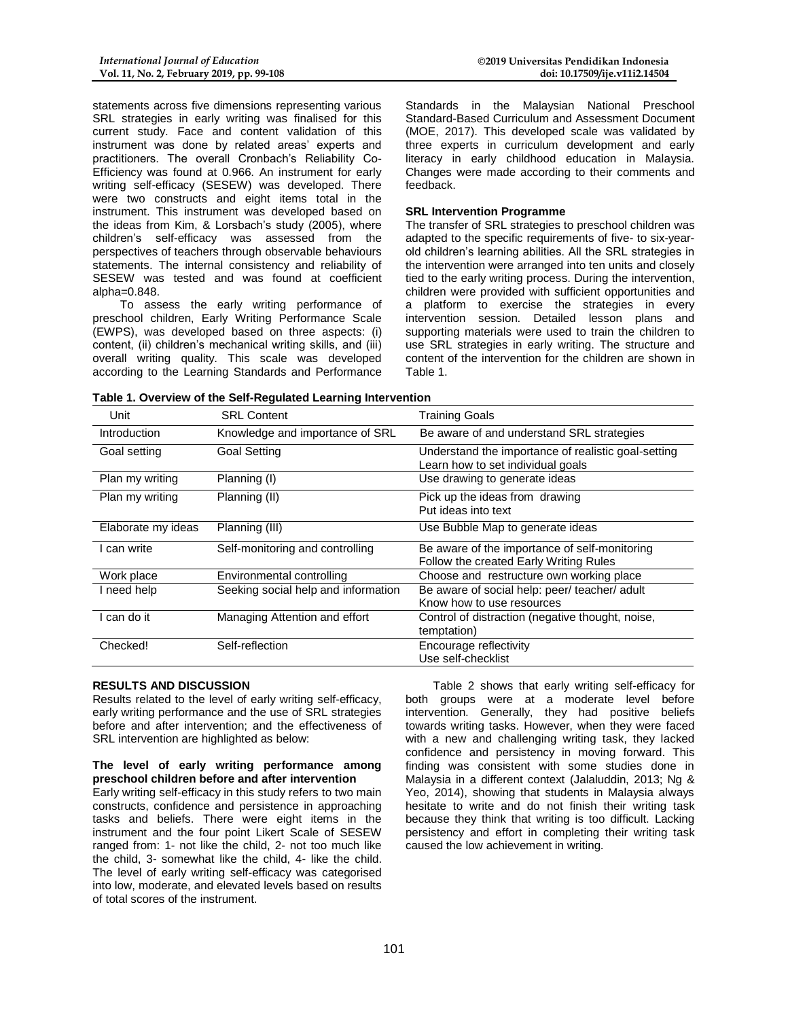statements across five dimensions representing various SRL strategies in early writing was finalised for this current study. Face and content validation of this instrument was done by related areas' experts and practitioners. The overall Cronbach's Reliability Co-Efficiency was found at 0.966. An instrument for early writing self-efficacy (SESEW) was developed. There were two constructs and eight items total in the instrument. This instrument was developed based on the ideas from Kim, & Lorsbach's study (2005), where children's self-efficacy was assessed from the perspectives of teachers through observable behaviours statements. The internal consistency and reliability of SESEW was tested and was found at coefficient alpha=0.848.

To assess the early writing performance of preschool children, Early Writing Performance Scale (EWPS), was developed based on three aspects: (i) content, (ii) children's mechanical writing skills, and (iii) overall writing quality. This scale was developed according to the Learning Standards and Performance

Standards in the Malaysian National Preschool Standard-Based Curriculum and Assessment Document (MOE, 2017). This developed scale was validated by three experts in curriculum development and early literacy in early childhood education in Malaysia. Changes were made according to their comments and feedback.

## **SRL Intervention Programme**

The transfer of SRL strategies to preschool children was adapted to the specific requirements of five- to six-yearold children's learning abilities. All the SRL strategies in the intervention were arranged into ten units and closely tied to the early writing process. During the intervention, children were provided with sufficient opportunities and a platform to exercise the strategies in every intervention session. Detailed lesson plans and supporting materials were used to train the children to use SRL strategies in early writing. The structure and content of the intervention for the children are shown in Table 1.

| Unit               | <b>SRL Content</b>                  | <b>Training Goals</b>                                                                    |
|--------------------|-------------------------------------|------------------------------------------------------------------------------------------|
| Introduction       | Knowledge and importance of SRL     | Be aware of and understand SRL strategies                                                |
| Goal setting       | Goal Setting                        | Understand the importance of realistic goal-setting<br>Learn how to set individual goals |
| Plan my writing    | Planning (I)                        | Use drawing to generate ideas                                                            |
| Plan my writing    | Planning (II)                       | Pick up the ideas from drawing<br>Put ideas into text                                    |
| Elaborate my ideas | Planning (III)                      | Use Bubble Map to generate ideas                                                         |
| I can write        | Self-monitoring and controlling     | Be aware of the importance of self-monitoring<br>Follow the created Early Writing Rules  |
| Work place         | Environmental controlling           | Choose and restructure own working place                                                 |
| I need help        | Seeking social help and information | Be aware of social help: peer/ teacher/ adult<br>Know how to use resources               |
| I can do it        | Managing Attention and effort       | Control of distraction (negative thought, noise,<br>temptation)                          |
| Checked!           | Self-reflection                     | Encourage reflectivity<br>Use self-checklist                                             |

**Table 1. Overview of the Self-Regulated Learning Intervention** 

## **RESULTS AND DISCUSSION**

Results related to the level of early writing self-efficacy, early writing performance and the use of SRL strategies before and after intervention; and the effectiveness of SRL intervention are highlighted as below:

#### **The level of early writing performance among preschool children before and after intervention**

Early writing self-efficacy in this study refers to two main constructs, confidence and persistence in approaching tasks and beliefs. There were eight items in the instrument and the four point Likert Scale of SESEW ranged from: 1- not like the child, 2- not too much like the child, 3- somewhat like the child, 4- like the child. The level of early writing self-efficacy was categorised into low, moderate, and elevated levels based on results of total scores of the instrument.

Table 2 shows that early writing self-efficacy for both groups were at a moderate level before intervention. Generally, they had positive beliefs towards writing tasks. However, when they were faced with a new and challenging writing task, they lacked confidence and persistency in moving forward. This finding was consistent with some studies done in Malaysia in a different context (Jalaluddin, 2013; Ng & Yeo, 2014), showing that students in Malaysia always hesitate to write and do not finish their writing task because they think that writing is too difficult. Lacking persistency and effort in completing their writing task caused the low achievement in writing.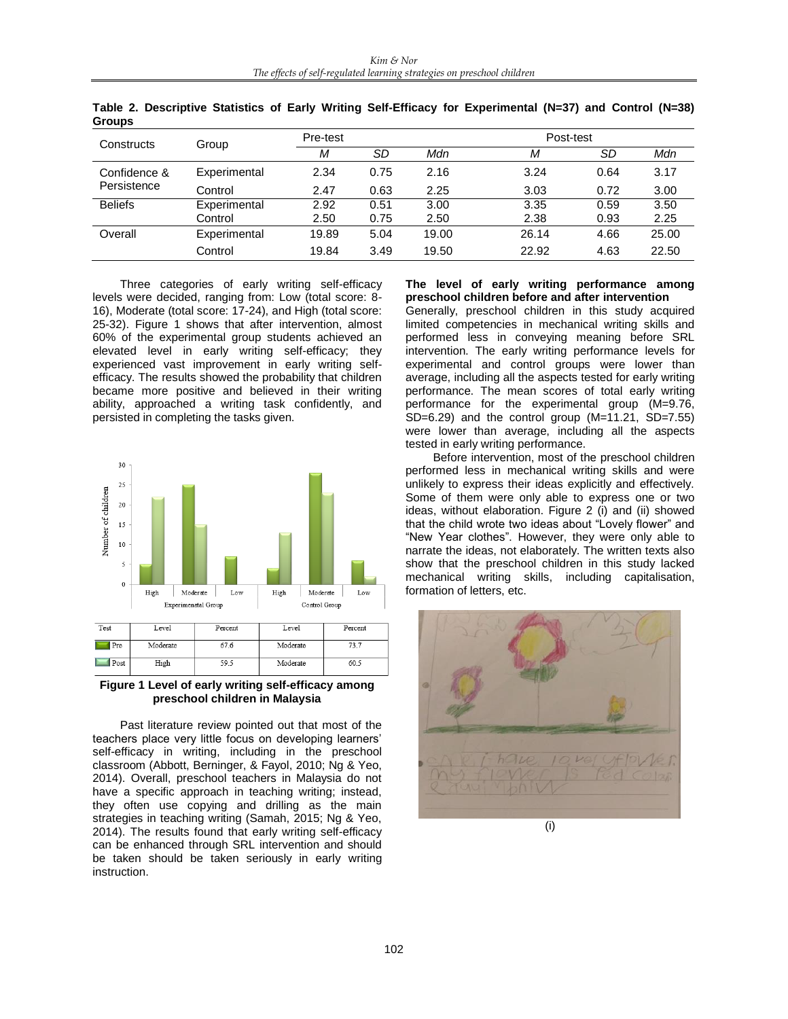| Constructs     | Group        | Pre-test |      |       | Post-test |      |       |  |
|----------------|--------------|----------|------|-------|-----------|------|-------|--|
|                |              | М        | SD   | Mdn   | М         | SD   | Mdn   |  |
| Confidence &   | Experimental | 2.34     | 0.75 | 2.16  | 3.24      | 0.64 | 3.17  |  |
| Persistence    | Control      | 2.47     | 0.63 | 2.25  | 3.03      | 0.72 | 3.00  |  |
| <b>Beliefs</b> | Experimental | 2.92     | 0.51 | 3.00  | 3.35      | 0.59 | 3.50  |  |
|                | Control      | 2.50     | 0.75 | 2.50  | 2.38      | 0.93 | 2.25  |  |
| Overall        | Experimental | 19.89    | 5.04 | 19.00 | 26.14     | 4.66 | 25.00 |  |
|                | Control      | 19.84    | 3.49 | 19.50 | 22.92     | 4.63 | 22.50 |  |

**Table 2. Descriptive Statistics of Early Writing Self-Efficacy for Experimental (N=37) and Control (N=38) Groups**

Three categories of early writing self-efficacy levels were decided, ranging from: Low (total score: 8- 16), Moderate (total score: 17-24), and High (total score: 25-32). Figure 1 shows that after intervention, almost 60% of the experimental group students achieved an elevated level in early writing self-efficacy; they experienced vast improvement in early writing selfefficacy. The results showed the probability that children became more positive and believed in their writing ability, approached a writing task confidently, and persisted in completing the tasks given.



#### **Figure 1 Level of early writing self-efficacy among preschool children in Malaysia**

Past literature review pointed out that most of the teachers place very little focus on developing learners' self-efficacy in writing, including in the preschool classroom (Abbott, Berninger, & Fayol, 2010; Ng & Yeo, 2014). Overall, preschool teachers in Malaysia do not have a specific approach in teaching writing; instead, they often use copying and drilling as the main strategies in teaching writing (Samah, 2015; Ng & Yeo, 2014). The results found that early writing self-efficacy can be enhanced through SRL intervention and should be taken should be taken seriously in early writing instruction.

## **The level of early writing performance among preschool children before and after intervention**

Generally, preschool children in this study acquired limited competencies in mechanical writing skills and performed less in conveying meaning before SRL intervention. The early writing performance levels for experimental and control groups were lower than average, including all the aspects tested for early writing performance. The mean scores of total early writing performance for the experimental group (M=9.76,  $SD=6.29$ ) and the control group  $(M=11.21, SD=7.55)$ were lower than average, including all the aspects tested in early writing performance.

Before intervention, most of the preschool children performed less in mechanical writing skills and were unlikely to express their ideas explicitly and effectively. Some of them were only able to express one or two ideas, without elaboration. Figure 2 (i) and (ii) showed that the child wrote two ideas about "Lovely flower" and "New Year clothes". However, they were only able to narrate the ideas, not elaborately. The written texts also show that the preschool children in this study lacked mechanical writing skills, including capitalisation, formation of letters, etc.

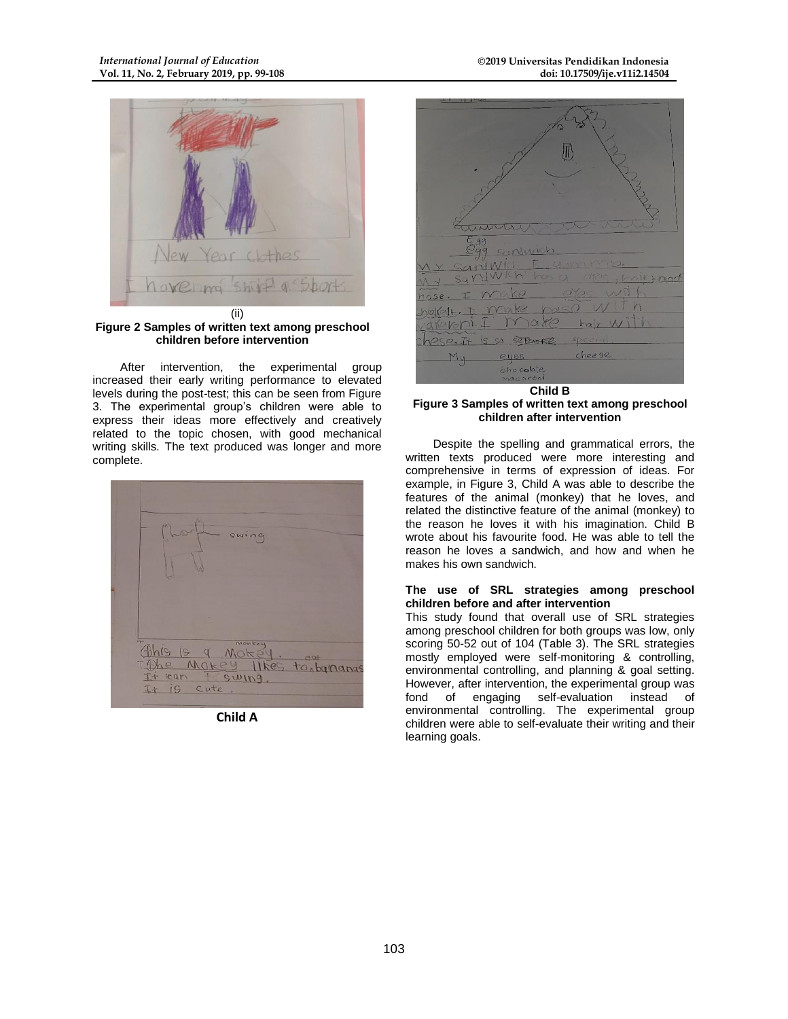

(ii) **Figure 2 Samples of written text among preschool children before intervention**

After intervention, the experimental group increased their early writing performance to elevated levels during the post-test; this can be seen from Figure 3. The experimental group's children were able to express their ideas more effectively and creatively related to the topic chosen, with good mechanical writing skills. The text produced was longer and more complete.



**Child A**



**Figure 3 Samples of written text among preschool children after intervention**

Despite the spelling and grammatical errors, the written texts produced were more interesting and comprehensive in terms of expression of ideas. For example, in Figure 3, Child A was able to describe the features of the animal (monkey) that he loves, and related the distinctive feature of the animal (monkey) to the reason he loves it with his imagination. Child B wrote about his favourite food. He was able to tell the reason he loves a sandwich, and how and when he makes his own sandwich.

#### **The use of SRL strategies among preschool children before and after intervention**

This study found that overall use of SRL strategies among preschool children for both groups was low, only scoring 50-52 out of 104 (Table 3). The SRL strategies mostly employed were self-monitoring & controlling, environmental controlling, and planning & goal setting. However, after intervention, the experimental group was<br>fond of engaging self-evaluation instead of engaging self-evaluation instead environmental controlling. The experimental group children were able to self-evaluate their writing and their learning goals.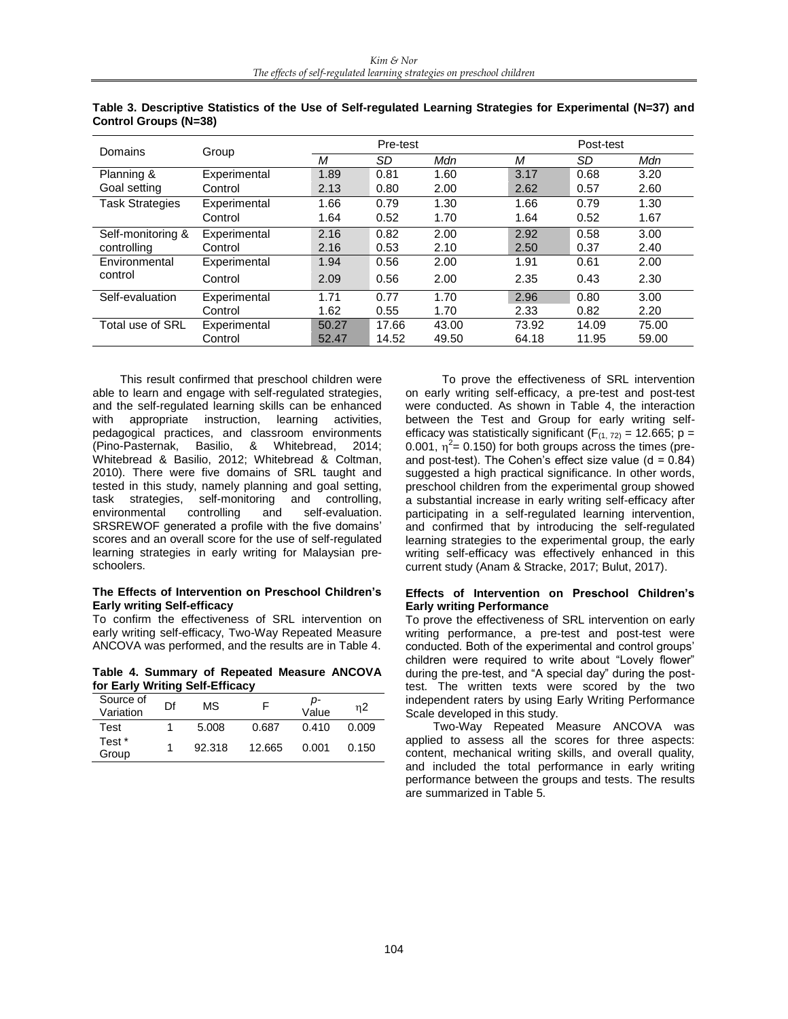| Domains                | Group        | Pre-test |       |       | Post-test |       |       |
|------------------------|--------------|----------|-------|-------|-----------|-------|-------|
|                        |              | M        | SD    | Mdn   | M         | SD    | Mdn   |
| Planning &             | Experimental | 1.89     | 0.81  | 1.60  | 3.17      | 0.68  | 3.20  |
| Goal setting           | Control      | 2.13     | 0.80  | 2.00  | 2.62      | 0.57  | 2.60  |
| <b>Task Strategies</b> | Experimental | 1.66     | 0.79  | 1.30  | 1.66      | 0.79  | 1.30  |
|                        | Control      | 1.64     | 0.52  | 1.70  | 1.64      | 0.52  | 1.67  |
| Self-monitoring &      | Experimental | 2.16     | 0.82  | 2.00  | 2.92      | 0.58  | 3.00  |
| controlling            | Control      | 2.16     | 0.53  | 2.10  | 2.50      | 0.37  | 2.40  |
| Environmental          | Experimental | 1.94     | 0.56  | 2.00  | 1.91      | 0.61  | 2.00  |
| control                | Control      | 2.09     | 0.56  | 2.00  | 2.35      | 0.43  | 2.30  |
| Self-evaluation        | Experimental | 1.71     | 0.77  | 1.70  | 2.96      | 0.80  | 3.00  |
|                        | Control      | 1.62     | 0.55  | 1.70  | 2.33      | 0.82  | 2.20  |
| Total use of SRL       | Experimental | 50.27    | 17.66 | 43.00 | 73.92     | 14.09 | 75.00 |
|                        | Control      | 52.47    | 14.52 | 49.50 | 64.18     | 11.95 | 59.00 |

**Table 3. Descriptive Statistics of the Use of Self-regulated Learning Strategies for Experimental (N=37) and Control Groups (N=38)**

This result confirmed that preschool children were able to learn and engage with self-regulated strategies, and the self-regulated learning skills can be enhanced with appropriate instruction, learning activities, pedagogical practices, and classroom environments<br>(Pino-Pasternak, Basilio, & Whitebread, 2014; Basilio, & Whitebread, 2014; Whitebread & Basilio, 2012; Whitebread & Coltman, 2010). There were five domains of SRL taught and tested in this study, namely planning and goal setting, task strategies, self-monitoring and controlling, environmental controlling and self-evaluation. SRSREWOF generated a profile with the five domains' scores and an overall score for the use of self-regulated learning strategies in early writing for Malaysian preschoolers.

#### **The Effects of Intervention on Preschool Children's Early writing Self-efficacy**

To confirm the effectiveness of SRL intervention on early writing self-efficacy, Two-Way Repeated Measure ANCOVA was performed, and the results are in Table 4.

**Table 4. Summary of Repeated Measure ANCOVA for Early Writing Self-Efficacy**

| Source of<br>Variation | Df | ΜS     | F      | D-<br>Value | η2    |
|------------------------|----|--------|--------|-------------|-------|
| Test                   |    | 5.008  | 0.687  | 0.410       | 0.009 |
| Test *<br>Group        |    | 92.318 | 12.665 | 0.001       | 0.150 |

To prove the effectiveness of SRL intervention on early writing self-efficacy, a pre-test and post-test were conducted. As shown in Table 4, the interaction between the Test and Group for early writing selfefficacy was statistically significant ( $F_{(1, 72)} = 12.665$ ; p = 0.001,  $\eta^2$  = 0.150) for both groups across the times (preand post-test). The Cohen's effect size value ( $d = 0.84$ ) suggested a high practical significance. In other words, preschool children from the experimental group showed a substantial increase in early writing self-efficacy after participating in a self-regulated learning intervention, and confirmed that by introducing the self-regulated learning strategies to the experimental group, the early writing self-efficacy was effectively enhanced in this current study (Anam & Stracke, 2017; Bulut, 2017).

#### **Effects of Intervention on Preschool Children's Early writing Performance**

To prove the effectiveness of SRL intervention on early writing performance, a pre-test and post-test were conducted. Both of the experimental and control groups' children were required to write about "Lovely flower" during the pre-test, and "A special day" during the posttest. The written texts were scored by the two independent raters by using Early Writing Performance Scale developed in this study.

Two-Way Repeated Measure ANCOVA was applied to assess all the scores for three aspects: content, mechanical writing skills, and overall quality, and included the total performance in early writing performance between the groups and tests. The results are summarized in Table 5.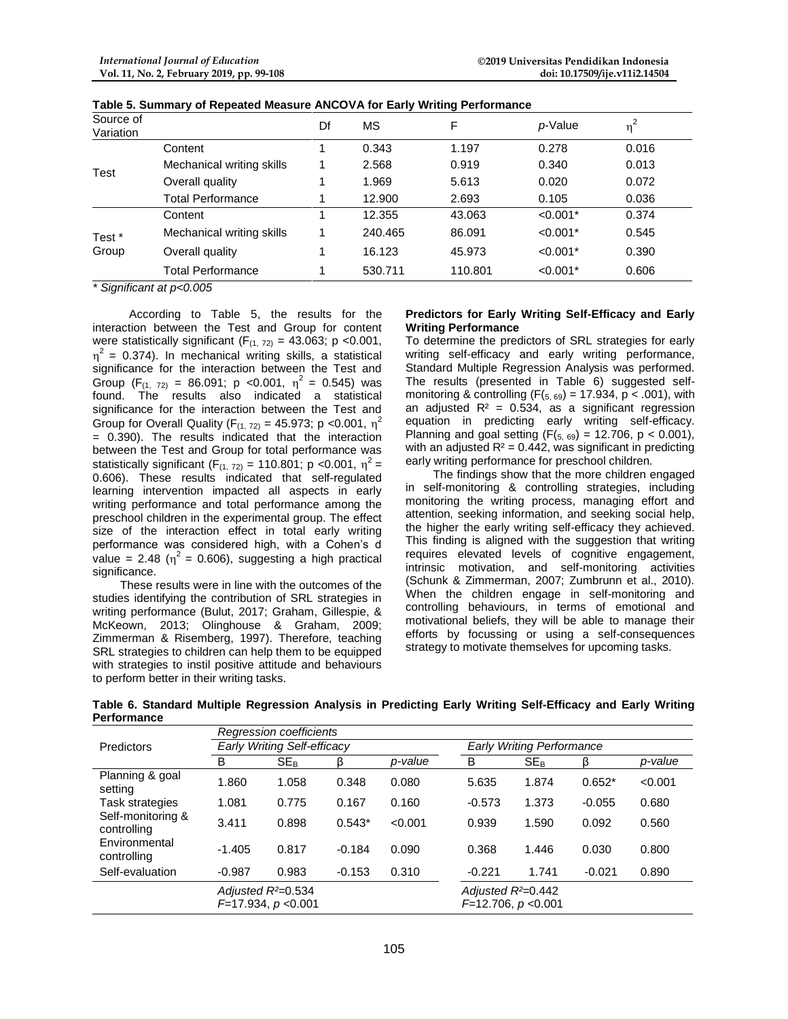| Source of<br>Variation |                           | Df | MS      | F       | p-Value    | $\eta^2$ |
|------------------------|---------------------------|----|---------|---------|------------|----------|
|                        | Content                   |    | 0.343   | 1.197   | 0.278      | 0.016    |
|                        | Mechanical writing skills |    | 2.568   | 0.919   | 0.340      | 0.013    |
| Test                   | Overall quality           |    | 1.969   | 5.613   | 0.020      | 0.072    |
|                        | <b>Total Performance</b>  | 1  | 12.900  | 2.693   | 0.105      | 0.036    |
|                        | Content                   |    | 12.355  | 43.063  | $< 0.001*$ | 0.374    |
| Test *                 | Mechanical writing skills |    | 240.465 | 86.091  | $< 0.001*$ | 0.545    |
| Group                  | Overall quality           |    | 16.123  | 45.973  | $< 0.001*$ | 0.390    |
|                        | <b>Total Performance</b>  | 1  | 530.711 | 110.801 | $< 0.001*$ | 0.606    |

*\* Significant at p<0.005*

According to Table 5, the results for the interaction between the Test and Group for content were statistically significant  $(F_{(1, 72)} = 43.063; p < 0.001$ ,  $\eta^2$  = 0.374). In mechanical writing skills, a statistical significance for the interaction between the Test and Group (F<sub>(1, 72)</sub> = 86.091; p <0.001,  $\eta^2$  = 0.545) was found. The results also indicated a statistical significance for the interaction between the Test and Group for Overall Quality ( $F_{(1, 72)} = 45.973$ ; p <0.001,  $\eta^2$ = 0.390). The results indicated that the interaction between the Test and Group for total performance was statistically significant (F<sub>(1, 72)</sub> = 110.801; p < 0.001,  $\eta^2$  = 0.606). These results indicated that self-regulated learning intervention impacted all aspects in early writing performance and total performance among the preschool children in the experimental group. The effect size of the interaction effect in total early writing performance was considered high, with a Cohen's d value = 2.48 ( $\eta^2$  = 0.606), suggesting a high practical significance.

These results were in line with the outcomes of the studies identifying the contribution of SRL strategies in writing performance (Bulut, 2017; Graham, Gillespie, & McKeown, 2013; Olinghouse & Graham, 2009; Zimmerman & Risemberg, 1997). Therefore, teaching SRL strategies to children can help them to be equipped with strategies to instil positive attitude and behaviours to perform better in their writing tasks.

## **Predictors for Early Writing Self-Efficacy and Early Writing Performance**

To determine the predictors of SRL strategies for early writing self-efficacy and early writing performance, Standard Multiple Regression Analysis was performed. The results (presented in Table 6) suggested selfmonitoring & controlling ( $F(s, \theta) = 17.934$ ,  $p < .001$ ), with an adjusted  $R^2 = 0.534$ , as a significant regression equation in predicting early writing self-efficacy. Planning and goal setting  $(F(5, 69) = 12.706, p < 0.001)$ , with an adjusted  $R<sup>2</sup> = 0.442$ , was significant in predicting early writing performance for preschool children.

The findings show that the more children engaged in self-monitoring & controlling strategies, including monitoring the writing process, managing effort and attention, seeking information, and seeking social help, the higher the early writing self-efficacy they achieved. This finding is aligned with the suggestion that writing requires elevated levels of cognitive engagement, intrinsic motivation, and self-monitoring activities (Schunk & Zimmerman, 2007; Zumbrunn et al., 2010). When the children engage in self-monitoring and controlling behaviours, in terms of emotional and motivational beliefs, they will be able to manage their efforts by focussing or using a self-consequences strategy to motivate themselves for upcoming tasks.

| Table 6. Standard Multiple Regression Analysis in Predicting Early Writing Self-Efficacy and Early Writing |  |  |
|------------------------------------------------------------------------------------------------------------|--|--|
| Performance                                                                                                |  |  |

|                                  |                                                         | Regression coefficients |          |         |                                               |                                  |          |         |  |
|----------------------------------|---------------------------------------------------------|-------------------------|----------|---------|-----------------------------------------------|----------------------------------|----------|---------|--|
| <b>Predictors</b>                | Early Writing Self-efficacy                             |                         |          |         |                                               | <b>Early Writing Performance</b> |          |         |  |
|                                  | B                                                       | $SE_B$                  |          | p-value | B                                             | $SE_{B}$                         |          | p-value |  |
| Planning & goal<br>setting       | 1.860                                                   | 1.058                   | 0.348    | 0.080   | 5.635                                         | 1.874                            | $0.652*$ | < 0.001 |  |
| Task strategies                  | 1.081                                                   | 0.775                   | 0.167    | 0.160   | $-0.573$                                      | 1.373                            | $-0.055$ | 0.680   |  |
| Self-monitoring &<br>controlling | 3.411                                                   | 0.898                   | $0.543*$ | < 0.001 | 0.939                                         | 1.590                            | 0.092    | 0.560   |  |
| Environmental<br>controlling     | $-1.405$                                                | 0.817                   | $-0.184$ | 0.090   | 0.368                                         | 1.446                            | 0.030    | 0.800   |  |
| Self-evaluation                  | $-0.987$                                                | 0.983                   | $-0.153$ | 0.310   | $-0.221$                                      | 1.741                            | $-0.021$ | 0.890   |  |
|                                  | Adjusted R <sup>2</sup> =0.534<br>$F=17.934, p < 0.001$ |                         |          |         | Adjusted $R^2=0.442$<br>$F=12.706, p < 0.001$ |                                  |          |         |  |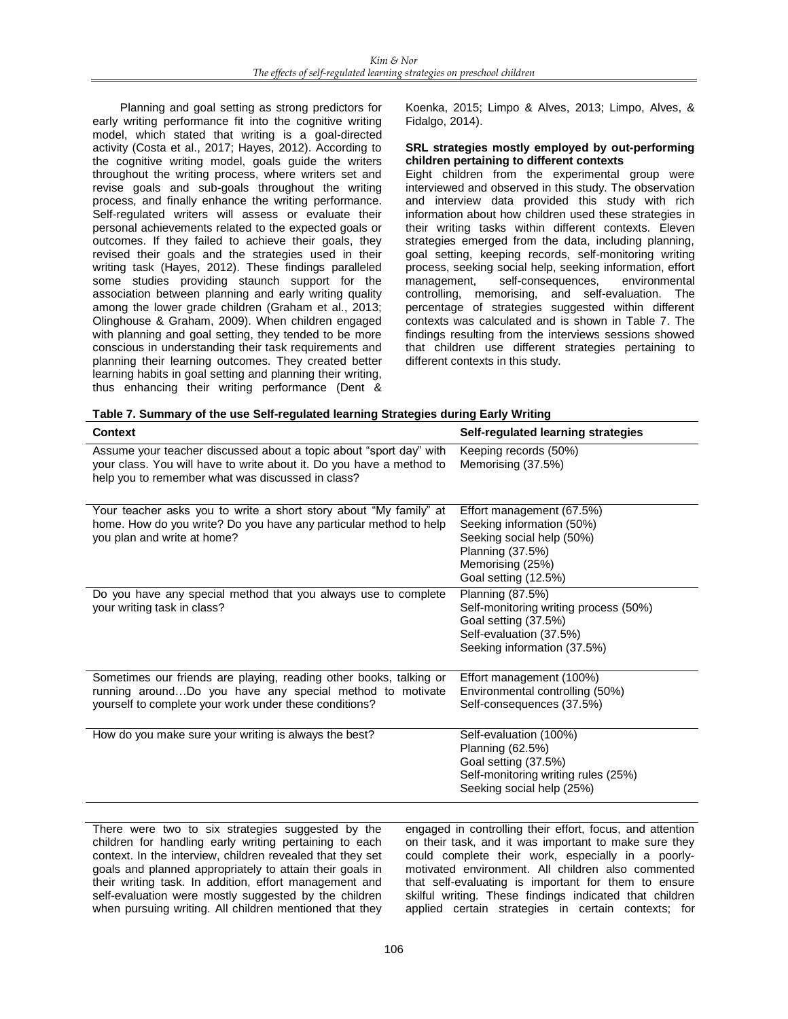Planning and goal setting as strong predictors for early writing performance fit into the cognitive writing model, which stated that writing is a goal-directed activity (Costa et al., 2017; Hayes, 2012). According to the cognitive writing model, goals guide the writers throughout the writing process, where writers set and revise goals and sub-goals throughout the writing process, and finally enhance the writing performance. Self-regulated writers will assess or evaluate their personal achievements related to the expected goals or outcomes. If they failed to achieve their goals, they revised their goals and the strategies used in their writing task (Hayes, 2012). These findings paralleled some studies providing staunch support for the association between planning and early writing quality among the lower grade children (Graham et al., 2013; Olinghouse & Graham, 2009). When children engaged with planning and goal setting, they tended to be more conscious in understanding their task requirements and planning their learning outcomes. They created better learning habits in goal setting and planning their writing, thus enhancing their writing performance (Dent &

Koenka, 2015; Limpo & Alves, 2013; Limpo, Alves, & Fidalgo, 2014).

#### **SRL strategies mostly employed by out-performing children pertaining to different contexts**

Eight children from the experimental group were interviewed and observed in this study. The observation and interview data provided this study with rich information about how children used these strategies in their writing tasks within different contexts. Eleven strategies emerged from the data, including planning, goal setting, keeping records, self-monitoring writing process, seeking social help, seeking information, effort management, self-consequences, environmental controlling, memorising, and self-evaluation. The percentage of strategies suggested within different contexts was calculated and is shown in Table 7. The findings resulting from the interviews sessions showed that children use different strategies pertaining to different contexts in this study.

| Table 7. Summary of the use Self-regulated learning Strategies during Early Writing |  |  |  |
|-------------------------------------------------------------------------------------|--|--|--|
|                                                                                     |  |  |  |

| <b>Context</b>                                                                                                                                                                                  | Self-regulated learning strategies                                                                                                                  |
|-------------------------------------------------------------------------------------------------------------------------------------------------------------------------------------------------|-----------------------------------------------------------------------------------------------------------------------------------------------------|
| Assume your teacher discussed about a topic about "sport day" with<br>your class. You will have to write about it. Do you have a method to<br>help you to remember what was discussed in class? | Keeping records (50%)<br>Memorising (37.5%)                                                                                                         |
| Your teacher asks you to write a short story about "My family" at<br>home. How do you write? Do you have any particular method to help<br>you plan and write at home?                           | Effort management (67.5%)<br>Seeking information (50%)<br>Seeking social help (50%)<br>Planning (37.5%)<br>Memorising (25%)<br>Goal setting (12.5%) |
| Do you have any special method that you always use to complete<br>your writing task in class?                                                                                                   | Planning (87.5%)<br>Self-monitoring writing process (50%)<br>Goal setting (37.5%)<br>Self-evaluation (37.5%)<br>Seeking information (37.5%)         |
| Sometimes our friends are playing, reading other books, talking or<br>running aroundDo you have any special method to motivate<br>yourself to complete your work under these conditions?        | Effort management (100%)<br>Environmental controlling (50%)<br>Self-consequences (37.5%)                                                            |
| How do you make sure your writing is always the best?                                                                                                                                           | Self-evaluation (100%)<br>Planning (62.5%)<br>Goal setting (37.5%)<br>Self-monitoring writing rules (25%)<br>Seeking social help (25%)              |

There were two to six strategies suggested by the children for handling early writing pertaining to each context. In the interview, children revealed that they set goals and planned appropriately to attain their goals in their writing task. In addition, effort management and self-evaluation were mostly suggested by the children when pursuing writing. All children mentioned that they

engaged in controlling their effort, focus, and attention on their task, and it was important to make sure they could complete their work, especially in a poorlymotivated environment. All children also commented that self-evaluating is important for them to ensure skilful writing. These findings indicated that children applied certain strategies in certain contexts; for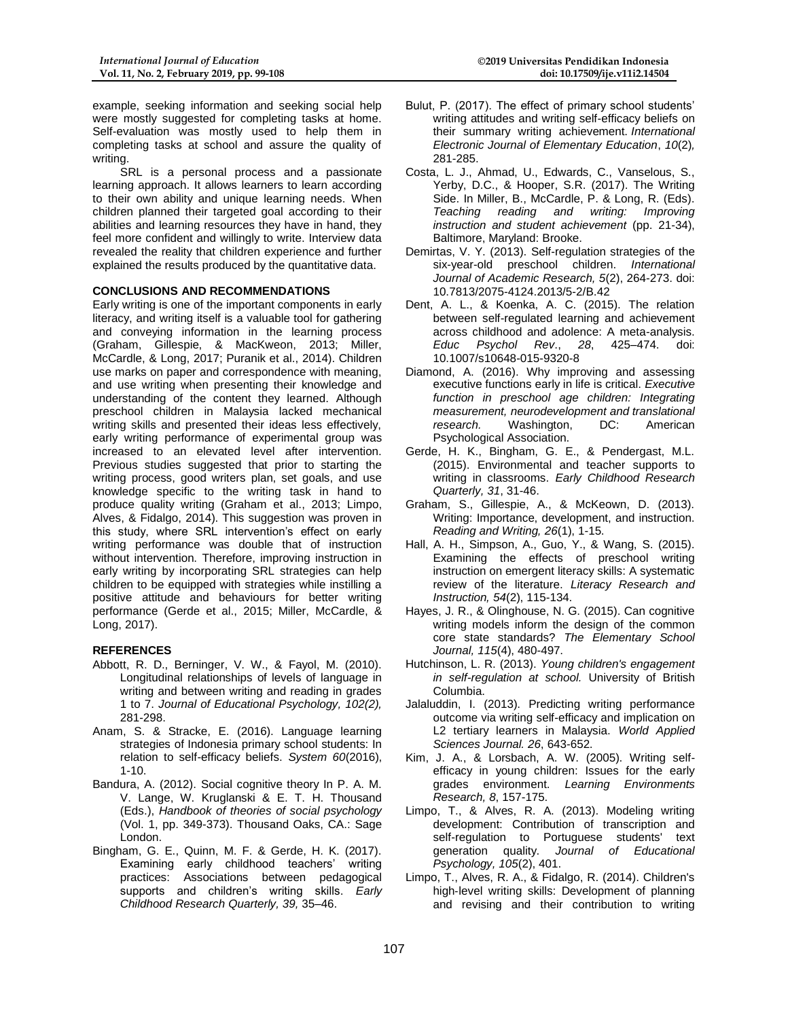example, seeking information and seeking social help were mostly suggested for completing tasks at home. Self-evaluation was mostly used to help them in completing tasks at school and assure the quality of writing.

SRL is a personal process and a passionate learning approach. It allows learners to learn according to their own ability and unique learning needs. When children planned their targeted goal according to their abilities and learning resources they have in hand, they feel more confident and willingly to write. Interview data revealed the reality that children experience and further explained the results produced by the quantitative data.

## **CONCLUSIONS AND RECOMMENDATIONS**

Early writing is one of the important components in early literacy, and writing itself is a valuable tool for gathering and conveying information in the learning process (Graham, Gillespie, & MacKweon, 2013; Miller, McCardle, & Long, 2017; Puranik et al., 2014). Children use marks on paper and correspondence with meaning, and use writing when presenting their knowledge and understanding of the content they learned. Although preschool children in Malaysia lacked mechanical writing skills and presented their ideas less effectively, early writing performance of experimental group was increased to an elevated level after intervention. Previous studies suggested that prior to starting the writing process, good writers plan, set goals, and use knowledge specific to the writing task in hand to produce quality writing (Graham et al., 2013; Limpo, Alves, & Fidalgo, 2014). This suggestion was proven in this study, where SRL intervention's effect on early writing performance was double that of instruction without intervention. Therefore, improving instruction in early writing by incorporating SRL strategies can help children to be equipped with strategies while instilling a positive attitude and behaviours for better writing performance (Gerde et al., 2015; Miller, McCardle, & Long, 2017).

## **REFERENCES**

- Abbott, R. D., Berninger, V. W., & Fayol, M. (2010). Longitudinal relationships of levels of language in writing and between writing and reading in grades 1 to 7. *Journal of Educational Psychology, 102(2),* 281-298.
- Anam, S. & Stracke, E. (2016). Language learning strategies of Indonesia primary school students: In relation to self-efficacy beliefs. *System 60*(2016),  $1 - 10$ .
- Bandura, A. (2012). Social cognitive theory In P. A. M. V. Lange, W. Kruglanski & E. T. H. Thousand (Eds.), *Handbook of theories of social psychology* (Vol. 1, pp. 349-373). Thousand Oaks, CA.: Sage London.
- Bingham, G. E., Quinn, M. F. & Gerde, H. K. (2017). Examining early childhood teachers' writing practices: Associations between pedagogical supports and children's writing skills. *Early Childhood Research Quarterly, 39,* 35–46.
- Bulut, P. (2017). The effect of primary school students' writing attitudes and writing self-efficacy beliefs on their summary writing achievement. *International Electronic Journal of Elementary Education*, *10*(2)*,* 281-285.
- Costa, L. J., Ahmad, U., Edwards, C., Vanselous, S., Yerby, D.C., & Hooper, S.R. (2017). The Writing Side. In Miller, B., McCardle, P. & Long, R. (Eds).<br>Teaching reading and writing: Improving  $Teaching$  reading *instruction and student achievement* (pp. 21-34), Baltimore, Maryland: Brooke.
- Demirtas, V. Y. (2013). Self-regulation strategies of the six-year-old preschool children. *International Journal of Academic Research, 5*(2), 264-273. doi: 10.7813/2075-4124.2013/5-2/B.42
- Dent, A. L., & Koenka, A. C. (2015). The relation between self-regulated learning and achievement across childhood and adolence: A meta-analysis. *Educ Psychol Rev*., *28*, 425–474. doi: 10.1007/s10648-015-9320-8
- Diamond, A. (2016). Why improving and assessing executive functions early in life is critical. *Executive function in preschool age children: Integrating measurement, neurodevelopment and translational research.* Washington, DC: American Psychological Association.
- Gerde, H. K., Bingham, G. E., & Pendergast, M.L. (2015). Environmental and teacher supports to writing in classrooms. *Early Childhood Research Quarterly, 31*, 31-46.
- Graham, S., Gillespie, A., & McKeown, D. (2013). Writing: Importance, development, and instruction. *Reading and Writing, 26*(1), 1-15.
- Hall, A. H., Simpson, A., Guo, Y., & Wang, S. (2015). Examining the effects of preschool writing instruction on emergent literacy skills: A systematic review of the literature. *Literacy Research and Instruction, 54*(2), 115-134.
- Hayes, J. R., & Olinghouse, N. G. (2015). Can cognitive writing models inform the design of the common core state standards? *The Elementary School Journal, 115*(4), 480-497.
- Hutchinson, L. R. (2013). *Young children's engagement in self-regulation at school.* University of British Columbia.
- Jalaluddin, I. (2013). Predicting writing performance outcome via writing self-efficacy and implication on L2 tertiary learners in Malaysia. *World Applied Sciences Journal. 26*, 643-652.
- Kim, J. A., & Lorsbach, A. W. (2005). Writing selfefficacy in young children: Issues for the early grades environment. *Learning Environments Research, 8*, 157-175.
- Limpo, T., & Alves, R. A. (2013). Modeling writing development: Contribution of transcription and self-regulation to Portuguese students' text generation quality. *Journal of Educational Psychology, 105*(2), 401.
- Limpo, T., Alves, R. A., & Fidalgo, R. (2014). Children's high-level writing skills: Development of planning and revising and their contribution to writing